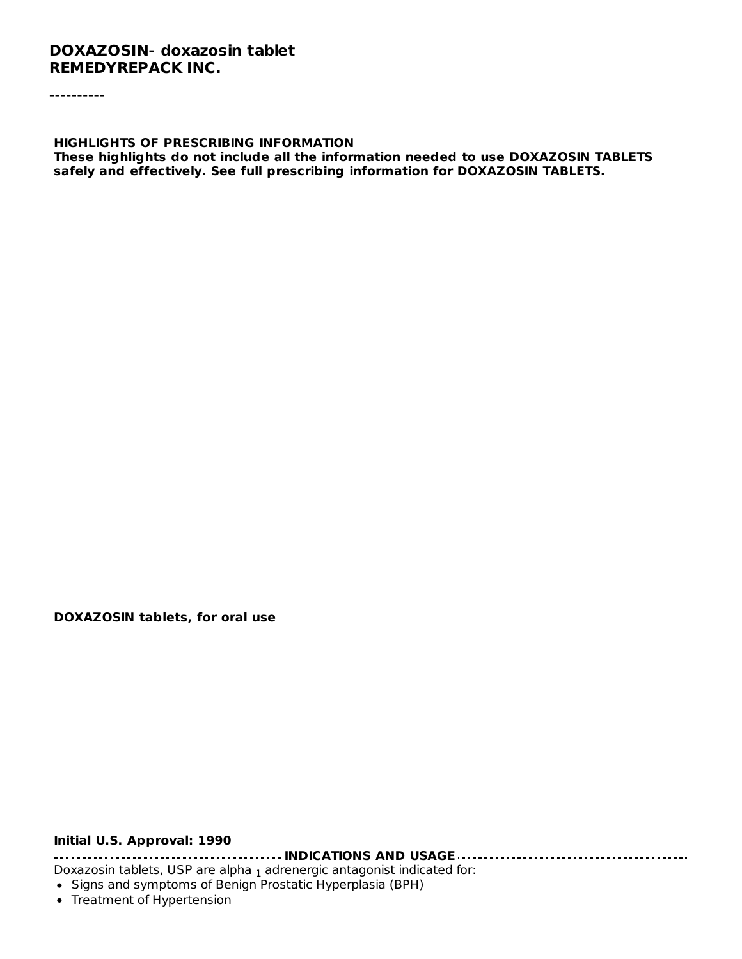#### **DOXAZOSIN- doxazosin tablet REMEDYREPACK INC.**

----------

**HIGHLIGHTS OF PRESCRIBING INFORMATION These highlights do not include all the information needed to use DOXAZOSIN TABLETS safely and effectively. See full prescribing information for DOXAZOSIN TABLETS.**

**DOXAZOSIN tablets, for oral use**

#### **Initial U.S. Approval: 1990**

**INDICATIONS AND USAGE**

Doxazosin tablets, USP are alpha  $_1$  adrenergic antagonist indicated for:

- Signs and symptoms of Benign Prostatic Hyperplasia (BPH)
- Treatment of Hypertension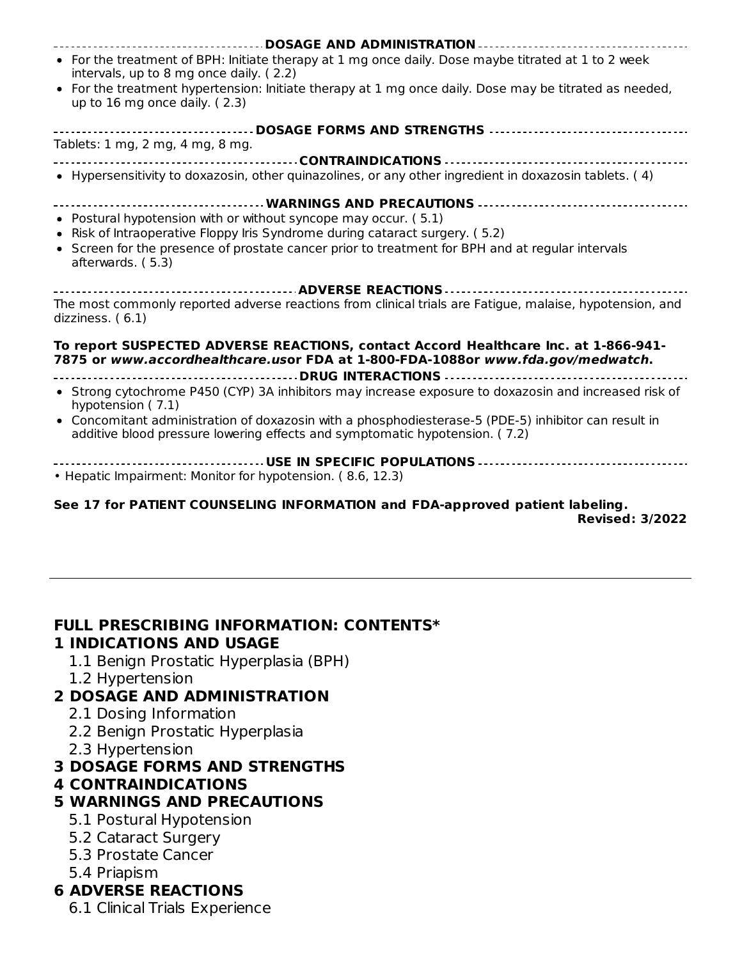| • For the treatment of BPH: Initiate therapy at 1 mg once daily. Dose maybe titrated at 1 to 2 week<br>intervals, up to 8 mg once daily. (2.2)                                      |
|-------------------------------------------------------------------------------------------------------------------------------------------------------------------------------------|
| • For the treatment hypertension: Initiate therapy at 1 mg once daily. Dose may be titrated as needed,<br>up to 16 mg once daily. (2.3)                                             |
|                                                                                                                                                                                     |
| Tablets: 1 mg, 2 mg, 4 mg, 8 mg.                                                                                                                                                    |
|                                                                                                                                                                                     |
| • Hypersensitivity to doxazosin, other quinazolines, or any other ingredient in doxazosin tablets. (4)                                                                              |
|                                                                                                                                                                                     |
| • Postural hypotension with or without syncope may occur. (5.1)                                                                                                                     |
| • Risk of Intraoperative Floppy Iris Syndrome during cataract surgery. (5.2)                                                                                                        |
| • Screen for the presence of prostate cancer prior to treatment for BPH and at regular intervals<br>afterwards. (5.3)                                                               |
|                                                                                                                                                                                     |
| The most commonly reported adverse reactions from clinical trials are Fatigue, malaise, hypotension, and<br>dizziness. (6.1)                                                        |
| To report SUSPECTED ADVERSE REACTIONS, contact Accord Healthcare Inc. at 1-866-941-<br>7875 or www.accordhealthcare.usor FDA at 1-800-FDA-1088or www.fda.gov/medwatch.              |
|                                                                                                                                                                                     |
| • Strong cytochrome P450 (CYP) 3A inhibitors may increase exposure to doxazosin and increased risk of<br>hypotension (7.1)                                                          |
| • Concomitant administration of doxazosin with a phosphodiesterase-5 (PDE-5) inhibitor can result in<br>additive blood pressure lowering effects and symptomatic hypotension. (7.2) |
|                                                                                                                                                                                     |
| • Hepatic Impairment: Monitor for hypotension. (8.6, 12.3)                                                                                                                          |

#### **See 17 for PATIENT COUNSELING INFORMATION and FDA-approved patient labeling. Revised: 3/2022**

#### **FULL PRESCRIBING INFORMATION: CONTENTS\***

#### **1 INDICATIONS AND USAGE**

- 1.1 Benign Prostatic Hyperplasia (BPH)
- 1.2 Hypertension

#### **2 DOSAGE AND ADMINISTRATION**

- 2.1 Dosing Information
- 2.2 Benign Prostatic Hyperplasia
- 2.3 Hypertension

#### **3 DOSAGE FORMS AND STRENGTHS**

#### **4 CONTRAINDICATIONS**

# **5 WARNINGS AND PRECAUTIONS**

- 5.1 Postural Hypotension
- 5.2 Cataract Surgery
- 5.3 Prostate Cancer
- 5.4 Priapism

# **6 ADVERSE REACTIONS**

6.1 Clinical Trials Experience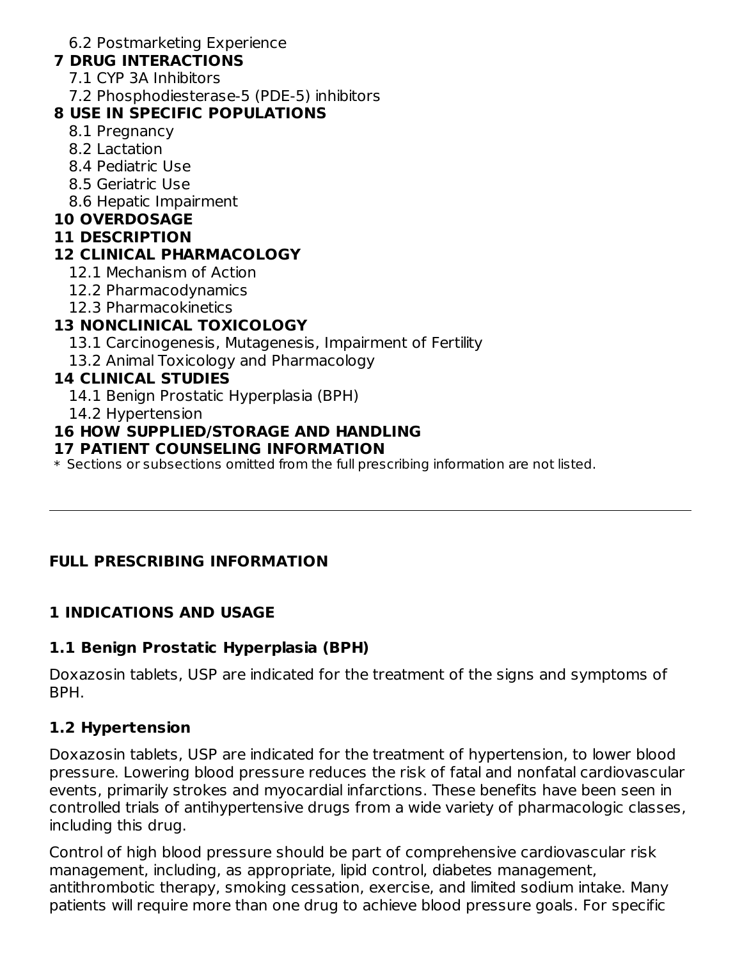6.2 Postmarketing Experience

### **7 DRUG INTERACTIONS**

- 7.1 CYP 3A Inhibitors
- 7.2 Phosphodiesterase-5 (PDE-5) inhibitors

### **8 USE IN SPECIFIC POPULATIONS**

- 8.1 Pregnancy
- 8.2 Lactation
- 8.4 Pediatric Use
- 8.5 Geriatric Use
- 8.6 Hepatic Impairment

#### **10 OVERDOSAGE**

#### **11 DESCRIPTION**

# **12 CLINICAL PHARMACOLOGY**

- 12.1 Mechanism of Action
- 12.2 Pharmacodynamics
- 12.3 Pharmacokinetics

# **13 NONCLINICAL TOXICOLOGY**

- 13.1 Carcinogenesis, Mutagenesis, Impairment of Fertility
- 13.2 Animal Toxicology and Pharmacology

#### **14 CLINICAL STUDIES**

- 14.1 Benign Prostatic Hyperplasia (BPH)
- 14.2 Hypertension

# **16 HOW SUPPLIED/STORAGE AND HANDLING**

#### **17 PATIENT COUNSELING INFORMATION**

 $\ast$  Sections or subsections omitted from the full prescribing information are not listed.

# **FULL PRESCRIBING INFORMATION**

# **1 INDICATIONS AND USAGE**

# **1.1 Benign Prostatic Hyperplasia (BPH)**

Doxazosin tablets, USP are indicated for the treatment of the signs and symptoms of BPH.

# **1.2 Hypertension**

Doxazosin tablets, USP are indicated for the treatment of hypertension, to lower blood pressure. Lowering blood pressure reduces the risk of fatal and nonfatal cardiovascular events, primarily strokes and myocardial infarctions. These benefits have been seen in controlled trials of antihypertensive drugs from a wide variety of pharmacologic classes, including this drug.

Control of high blood pressure should be part of comprehensive cardiovascular risk management, including, as appropriate, lipid control, diabetes management, antithrombotic therapy, smoking cessation, exercise, and limited sodium intake. Many patients will require more than one drug to achieve blood pressure goals. For specific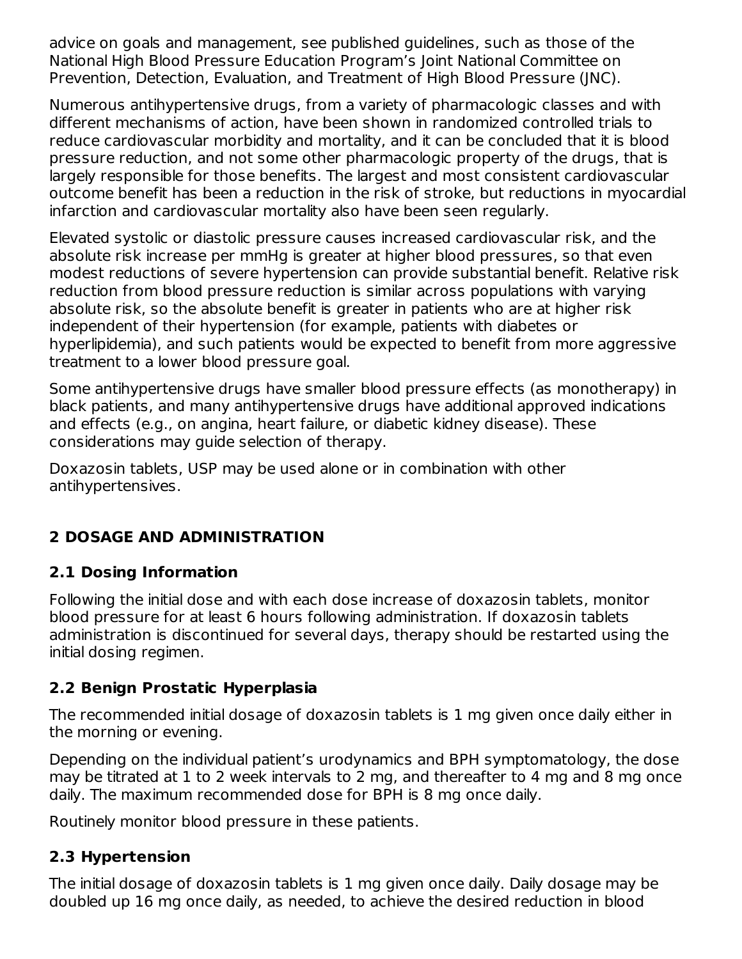advice on goals and management, see published guidelines, such as those of the National High Blood Pressure Education Program's Joint National Committee on Prevention, Detection, Evaluation, and Treatment of High Blood Pressure (JNC).

Numerous antihypertensive drugs, from a variety of pharmacologic classes and with different mechanisms of action, have been shown in randomized controlled trials to reduce cardiovascular morbidity and mortality, and it can be concluded that it is blood pressure reduction, and not some other pharmacologic property of the drugs, that is largely responsible for those benefits. The largest and most consistent cardiovascular outcome benefit has been a reduction in the risk of stroke, but reductions in myocardial infarction and cardiovascular mortality also have been seen regularly.

Elevated systolic or diastolic pressure causes increased cardiovascular risk, and the absolute risk increase per mmHg is greater at higher blood pressures, so that even modest reductions of severe hypertension can provide substantial benefit. Relative risk reduction from blood pressure reduction is similar across populations with varying absolute risk, so the absolute benefit is greater in patients who are at higher risk independent of their hypertension (for example, patients with diabetes or hyperlipidemia), and such patients would be expected to benefit from more aggressive treatment to a lower blood pressure goal.

Some antihypertensive drugs have smaller blood pressure effects (as monotherapy) in black patients, and many antihypertensive drugs have additional approved indications and effects (e.g., on angina, heart failure, or diabetic kidney disease). These considerations may guide selection of therapy.

Doxazosin tablets, USP may be used alone or in combination with other antihypertensives.

# **2 DOSAGE AND ADMINISTRATION**

# **2.1 Dosing Information**

Following the initial dose and with each dose increase of doxazosin tablets, monitor blood pressure for at least 6 hours following administration. If doxazosin tablets administration is discontinued for several days, therapy should be restarted using the initial dosing regimen.

# **2.2 Benign Prostatic Hyperplasia**

The recommended initial dosage of doxazosin tablets is 1 mg given once daily either in the morning or evening.

Depending on the individual patient's urodynamics and BPH symptomatology, the dose may be titrated at 1 to 2 week intervals to 2 mg, and thereafter to 4 mg and 8 mg once daily. The maximum recommended dose for BPH is 8 mg once daily.

Routinely monitor blood pressure in these patients.

# **2.3 Hypertension**

The initial dosage of doxazosin tablets is 1 mg given once daily. Daily dosage may be doubled up 16 mg once daily, as needed, to achieve the desired reduction in blood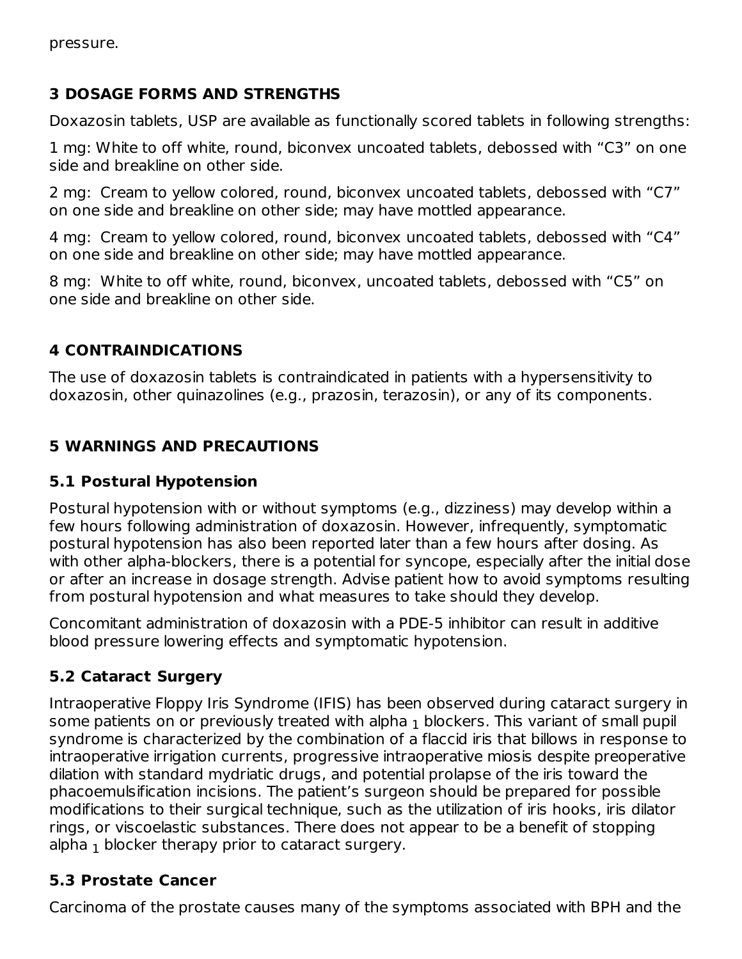### **3 DOSAGE FORMS AND STRENGTHS**

Doxazosin tablets, USP are available as functionally scored tablets in following strengths:

1 mg: White to off white, round, biconvex uncoated tablets, debossed with "C3" on one side and breakline on other side.

2 mg: Cream to yellow colored, round, biconvex uncoated tablets, debossed with "C7" on one side and breakline on other side; may have mottled appearance.

4 mg: Cream to yellow colored, round, biconvex uncoated tablets, debossed with "C4" on one side and breakline on other side; may have mottled appearance.

8 mg: White to off white, round, biconvex, uncoated tablets, debossed with "C5" on one side and breakline on other side.

# **4 CONTRAINDICATIONS**

The use of doxazosin tablets is contraindicated in patients with a hypersensitivity to doxazosin, other quinazolines (e.g., prazosin, terazosin), or any of its components.

# **5 WARNINGS AND PRECAUTIONS**

# **5.1 Postural Hypotension**

Postural hypotension with or without symptoms (e.g., dizziness) may develop within a few hours following administration of doxazosin. However, infrequently, symptomatic postural hypotension has also been reported later than a few hours after dosing. As with other alpha-blockers, there is a potential for syncope, especially after the initial dose or after an increase in dosage strength. Advise patient how to avoid symptoms resulting from postural hypotension and what measures to take should they develop.

Concomitant administration of doxazosin with a PDE-5 inhibitor can result in additive blood pressure lowering effects and symptomatic hypotension.

# **5.2 Cataract Surgery**

Intraoperative Floppy Iris Syndrome (IFIS) has been observed during cataract surgery in some patients on or previously treated with alpha  $_{\rm 1}$  blockers. This variant of small pupil syndrome is characterized by the combination of a flaccid iris that billows in response to intraoperative irrigation currents, progressive intraoperative miosis despite preoperative dilation with standard mydriatic drugs, and potential prolapse of the iris toward the phacoemulsification incisions. The patient's surgeon should be prepared for possible modifications to their surgical technique, such as the utilization of iris hooks, iris dilator rings, or viscoelastic substances. There does not appear to be a benefit of stopping alpha  $_{\rm 1}$  blocker therapy prior to cataract surgery.

# **5.3 Prostate Cancer**

Carcinoma of the prostate causes many of the symptoms associated with BPH and the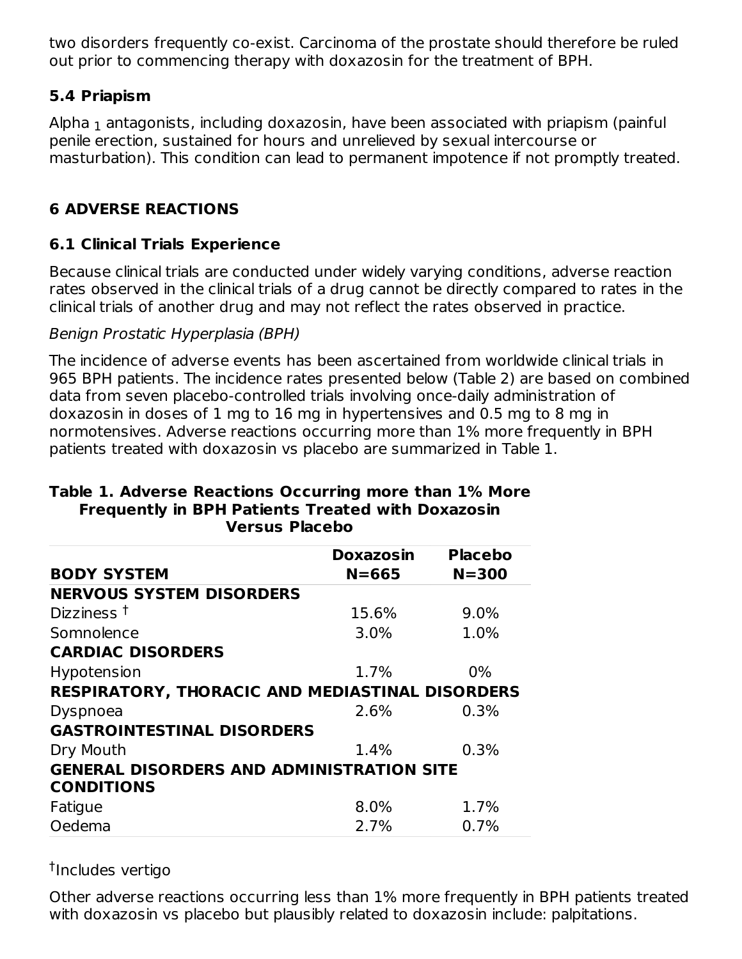two disorders frequently co-exist. Carcinoma of the prostate should therefore be ruled out prior to commencing therapy with doxazosin for the treatment of BPH.

### **5.4 Priapism**

Alpha  $_{\rm 1}$  antagonists, including doxazosin, have been associated with priapism (painful penile erection, sustained for hours and unrelieved by sexual intercourse or masturbation). This condition can lead to permanent impotence if not promptly treated.

# **6 ADVERSE REACTIONS**

# **6.1 Clinical Trials Experience**

Because clinical trials are conducted under widely varying conditions, adverse reaction rates observed in the clinical trials of a drug cannot be directly compared to rates in the clinical trials of another drug and may not reflect the rates observed in practice.

#### Benign Prostatic Hyperplasia (BPH)

The incidence of adverse events has been ascertained from worldwide clinical trials in 965 BPH patients. The incidence rates presented below (Table 2) are based on combined data from seven placebo-controlled trials involving once-daily administration of doxazosin in doses of 1 mg to 16 mg in hypertensives and 0.5 mg to 8 mg in normotensives. Adverse reactions occurring more than 1% more frequently in BPH patients treated with doxazosin vs placebo are summarized in Table 1.

#### **Table 1. Adverse Reactions Occurring more than 1% More Frequently in BPH Patients Treated with Doxazosin Versus Placebo**

|                                                  | Doxazosin | <b>Placebo</b> |
|--------------------------------------------------|-----------|----------------|
| <b>BODY SYSTEM</b>                               | $N = 665$ | $N = 300$      |
| <b>NERVOUS SYSTEM DISORDERS</b>                  |           |                |
| Dizziness $†$                                    | 15.6%     | 9.0%           |
| Somnolence                                       | 3.0%      | 1.0%           |
| <b>CARDIAC DISORDERS</b>                         |           |                |
| Hypotension                                      | 1.7%      | $0\%$          |
| RESPIRATORY, THORACIC AND MEDIASTINAL DISORDERS  |           |                |
| Dyspnoea                                         | 2.6%      | 0.3%           |
| <b>GASTROINTESTINAL DISORDERS</b>                |           |                |
| Dry Mouth                                        | 1.4%      | 0.3%           |
| <b>GENERAL DISORDERS AND ADMINISTRATION SITE</b> |           |                |
| <b>CONDITIONS</b>                                |           |                |
| Fatigue                                          | 8.0%      | 1.7%           |
| Oedema                                           | 2.7%      | 0.7%           |

#### <sup>†</sup>Includes vertigo

Other adverse reactions occurring less than 1% more frequently in BPH patients treated with doxazosin vs placebo but plausibly related to doxazosin include: palpitations.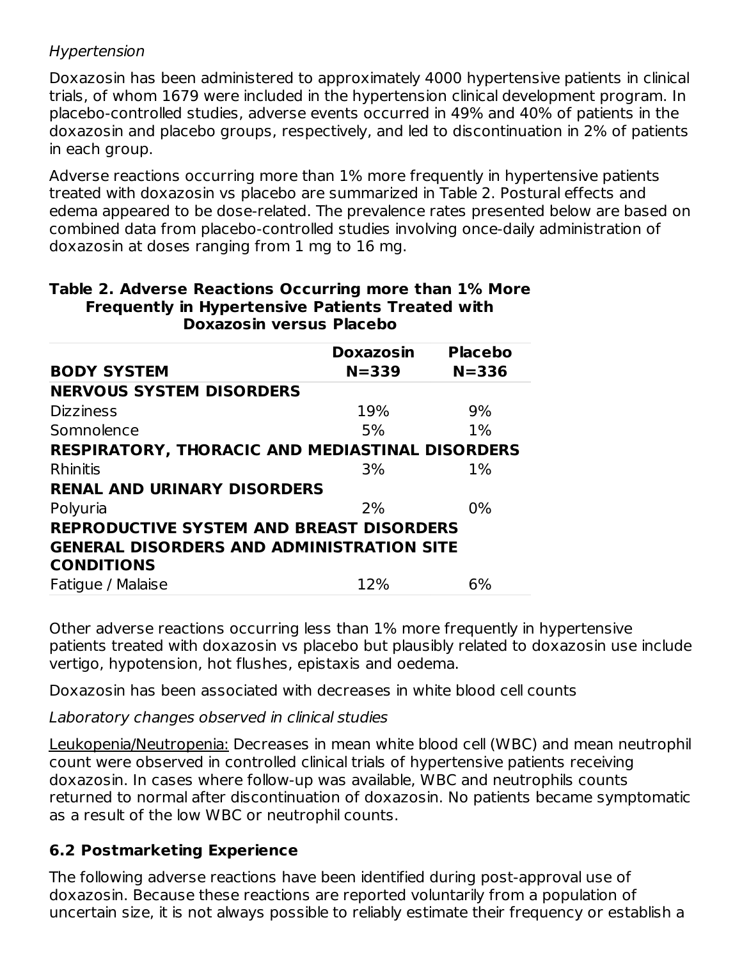#### Hypertension

Doxazosin has been administered to approximately 4000 hypertensive patients in clinical trials, of whom 1679 were included in the hypertension clinical development program. In placebo-controlled studies, adverse events occurred in 49% and 40% of patients in the doxazosin and placebo groups, respectively, and led to discontinuation in 2% of patients in each group.

Adverse reactions occurring more than 1% more frequently in hypertensive patients treated with doxazosin vs placebo are summarized in Table 2. Postural effects and edema appeared to be dose-related. The prevalence rates presented below are based on combined data from placebo-controlled studies involving once-daily administration of doxazosin at doses ranging from 1 mg to 16 mg.

#### **Table 2. Adverse Reactions Occurring more than 1% More Frequently in Hypertensive Patients Treated with Doxazosin versus Placebo**

|                                                        | <b>Doxazosin</b> | <b>Placebo</b> |
|--------------------------------------------------------|------------------|----------------|
| <b>BODY SYSTEM</b>                                     | $N = 339$        | $N = 336$      |
| <b>NERVOUS SYSTEM DISORDERS</b>                        |                  |                |
| <b>Dizziness</b>                                       | 19%              | 9%             |
| Somnolence                                             | 5%               | $1\%$          |
| <b>RESPIRATORY, THORACIC AND MEDIASTINAL DISORDERS</b> |                  |                |
| <b>Rhinitis</b>                                        | 3%               | $1\%$          |
| <b>RENAL AND URINARY DISORDERS</b>                     |                  |                |
| Polyuria                                               | 2%               | 0%             |
| <b>REPRODUCTIVE SYSTEM AND BREAST DISORDERS</b>        |                  |                |
| <b>GENERAL DISORDERS AND ADMINISTRATION SITE</b>       |                  |                |
| <b>CONDITIONS</b>                                      |                  |                |
| Fatigue / Malaise                                      | 12%              | 6%             |

Other adverse reactions occurring less than 1% more frequently in hypertensive patients treated with doxazosin vs placebo but plausibly related to doxazosin use include vertigo, hypotension, hot flushes, epistaxis and oedema.

Doxazosin has been associated with decreases in white blood cell counts

Laboratory changes observed in clinical studies

Leukopenia/Neutropenia: Decreases in mean white blood cell (WBC) and mean neutrophil count were observed in controlled clinical trials of hypertensive patients receiving doxazosin. In cases where follow-up was available, WBC and neutrophils counts returned to normal after discontinuation of doxazosin. No patients became symptomatic as a result of the low WBC or neutrophil counts.

# **6.2 Postmarketing Experience**

The following adverse reactions have been identified during post-approval use of doxazosin. Because these reactions are reported voluntarily from a population of uncertain size, it is not always possible to reliably estimate their frequency or establish a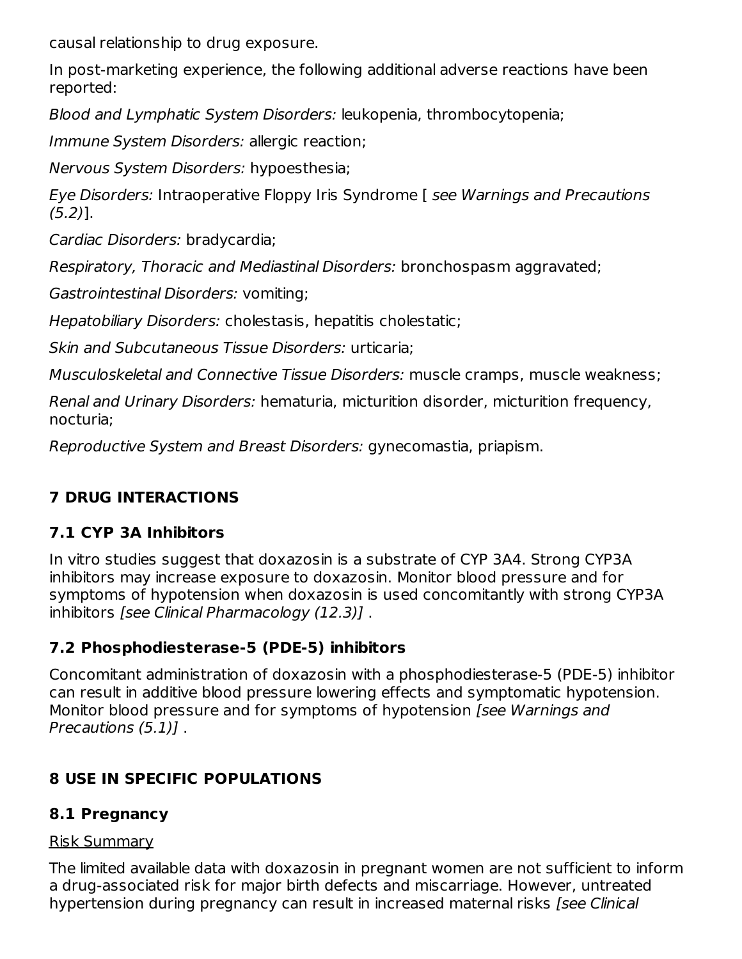causal relationship to drug exposure.

In post-marketing experience, the following additional adverse reactions have been reported:

Blood and Lymphatic System Disorders: leukopenia, thrombocytopenia;

Immune System Disorders: allergic reaction;

Nervous System Disorders: hypoesthesia;

Eye Disorders: Intraoperative Floppy Iris Syndrome [ see Warnings and Precautions (5.2)].

Cardiac Disorders: bradycardia;

Respiratory, Thoracic and Mediastinal Disorders: bronchospasm aggravated;

Gastrointestinal Disorders: vomiting;

Hepatobiliary Disorders: cholestasis, hepatitis cholestatic;

Skin and Subcutaneous Tissue Disorders: urticaria;

Musculoskeletal and Connective Tissue Disorders: muscle cramps, muscle weakness;

Renal and Urinary Disorders: hematuria, micturition disorder, micturition frequency, nocturia;

Reproductive System and Breast Disorders: gynecomastia, priapism.

# **7 DRUG INTERACTIONS**

# **7.1 CYP 3A Inhibitors**

In vitro studies suggest that doxazosin is a substrate of CYP 3A4. Strong CYP3A inhibitors may increase exposure to doxazosin. Monitor blood pressure and for symptoms of hypotension when doxazosin is used concomitantly with strong CYP3A inhibitors [see Clinical Pharmacology (12.3)] .

# **7.2 Phosphodiesterase-5 (PDE-5) inhibitors**

Concomitant administration of doxazosin with a phosphodiesterase-5 (PDE-5) inhibitor can result in additive blood pressure lowering effects and symptomatic hypotension. Monitor blood pressure and for symptoms of hypotension [see Warnings and Precautions (5.1)] .

# **8 USE IN SPECIFIC POPULATIONS**

# **8.1 Pregnancy**

# Risk Summary

The limited available data with doxazosin in pregnant women are not sufficient to inform a drug-associated risk for major birth defects and miscarriage. However, untreated hypertension during pregnancy can result in increased maternal risks [see Clinical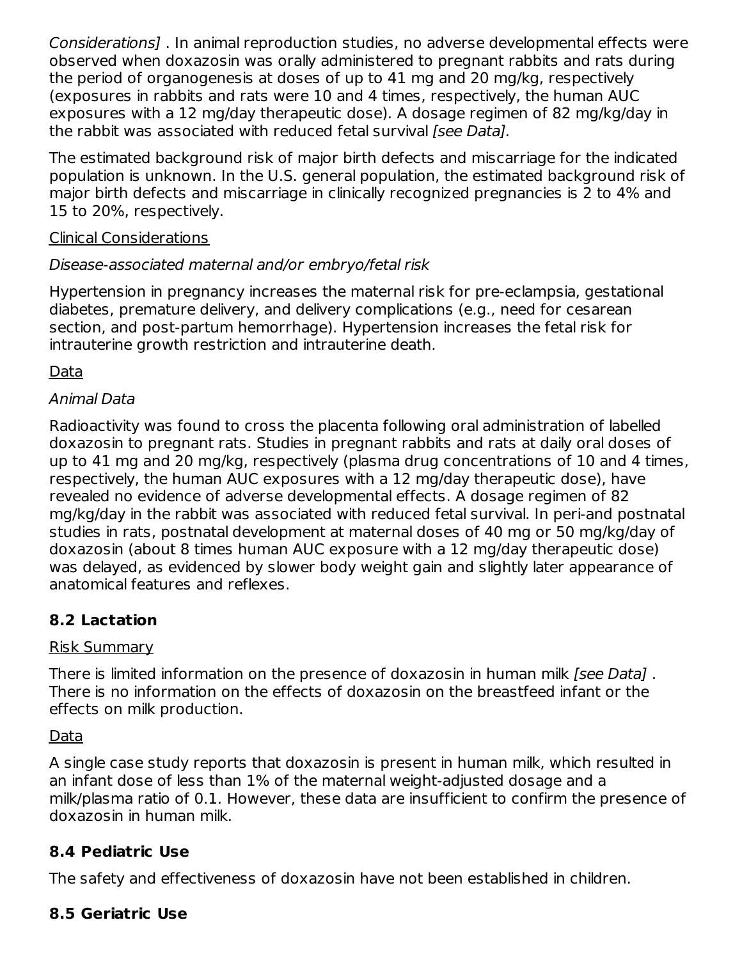Considerations] . In animal reproduction studies, no adverse developmental effects were observed when doxazosin was orally administered to pregnant rabbits and rats during the period of organogenesis at doses of up to 41 mg and 20 mg/kg, respectively (exposures in rabbits and rats were 10 and 4 times, respectively, the human AUC exposures with a 12 mg/day therapeutic dose). A dosage regimen of 82 mg/kg/day in the rabbit was associated with reduced fetal survival [see Data].

The estimated background risk of major birth defects and miscarriage for the indicated population is unknown. In the U.S. general population, the estimated background risk of major birth defects and miscarriage in clinically recognized pregnancies is 2 to 4% and 15 to 20%, respectively.

#### Clinical Considerations

# Disease-associated maternal and/or embryo/fetal risk

Hypertension in pregnancy increases the maternal risk for pre-eclampsia, gestational diabetes, premature delivery, and delivery complications (e.g., need for cesarean section, and post-partum hemorrhage). Hypertension increases the fetal risk for intrauterine growth restriction and intrauterine death.

Data

### Animal Data

Radioactivity was found to cross the placenta following oral administration of labelled doxazosin to pregnant rats. Studies in pregnant rabbits and rats at daily oral doses of up to 41 mg and 20 mg/kg, respectively (plasma drug concentrations of 10 and 4 times, respectively, the human AUC exposures with a 12 mg/day therapeutic dose), have revealed no evidence of adverse developmental effects. A dosage regimen of 82 mg/kg/day in the rabbit was associated with reduced fetal survival. In peri-and postnatal studies in rats, postnatal development at maternal doses of 40 mg or 50 mg/kg/day of doxazosin (about 8 times human AUC exposure with a 12 mg/day therapeutic dose) was delayed, as evidenced by slower body weight gain and slightly later appearance of anatomical features and reflexes.

# **8.2 Lactation**

#### Risk Summary

There is limited information on the presence of doxazosin in human milk *[see Data]*. There is no information on the effects of doxazosin on the breastfeed infant or the effects on milk production.

# Data

A single case study reports that doxazosin is present in human milk, which resulted in an infant dose of less than 1% of the maternal weight-adjusted dosage and a milk/plasma ratio of 0.1. However, these data are insufficient to confirm the presence of doxazosin in human milk.

# **8.4 Pediatric Use**

The safety and effectiveness of doxazosin have not been established in children.

# **8.5 Geriatric Use**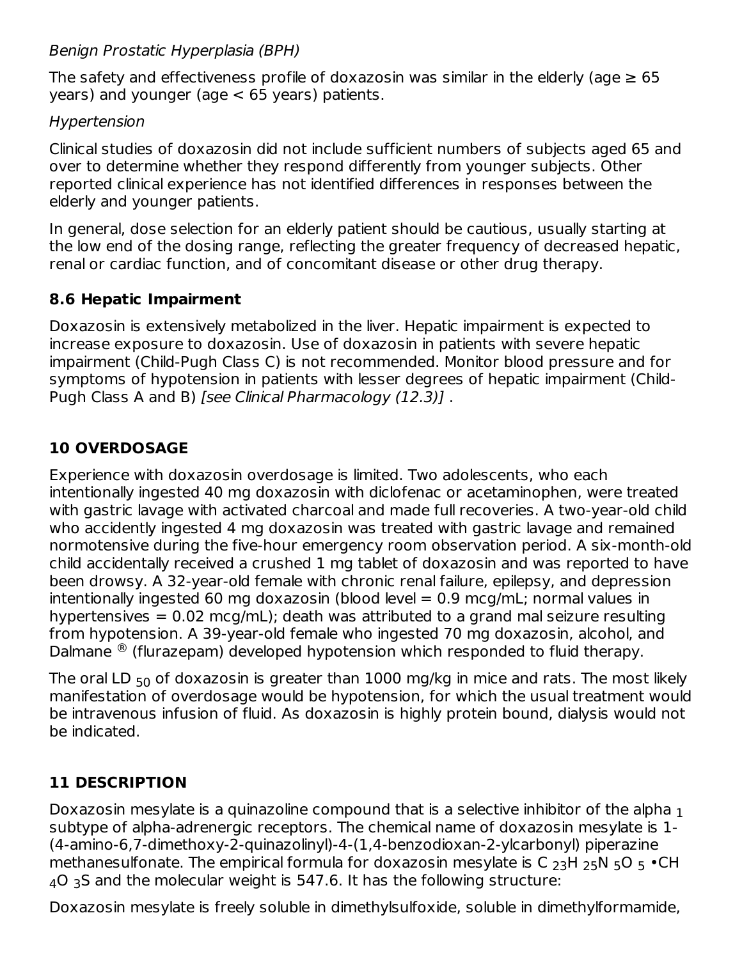Benign Prostatic Hyperplasia (BPH)

The safety and effectiveness profile of doxazosin was similar in the elderly (age  $\geq 65$ years) and younger (age < 65 years) patients.

# Hypertension

Clinical studies of doxazosin did not include sufficient numbers of subjects aged 65 and over to determine whether they respond differently from younger subjects. Other reported clinical experience has not identified differences in responses between the elderly and younger patients.

In general, dose selection for an elderly patient should be cautious, usually starting at the low end of the dosing range, reflecting the greater frequency of decreased hepatic, renal or cardiac function, and of concomitant disease or other drug therapy.

# **8.6 Hepatic Impairment**

Doxazosin is extensively metabolized in the liver. Hepatic impairment is expected to increase exposure to doxazosin. Use of doxazosin in patients with severe hepatic impairment (Child-Pugh Class C) is not recommended. Monitor blood pressure and for symptoms of hypotension in patients with lesser degrees of hepatic impairment (Child-Pugh Class A and B) [see Clinical Pharmacology (12.3)] .

# **10 OVERDOSAGE**

Experience with doxazosin overdosage is limited. Two adolescents, who each intentionally ingested 40 mg doxazosin with diclofenac or acetaminophen, were treated with gastric lavage with activated charcoal and made full recoveries. A two-year-old child who accidently ingested 4 mg doxazosin was treated with gastric lavage and remained normotensive during the five-hour emergency room observation period. A six-month-old child accidentally received a crushed 1 mg tablet of doxazosin and was reported to have been drowsy. A 32-year-old female with chronic renal failure, epilepsy, and depression intentionally ingested 60 mg doxazosin (blood level = 0.9 mcg/mL; normal values in hypertensives  $= 0.02$  mcg/mL); death was attributed to a grand mal seizure resulting from hypotension. A 39-year-old female who ingested 70 mg doxazosin, alcohol, and Dalmane  $^{\circledR}$  (flurazepam) developed hypotension which responded to fluid therapy.

The oral LD  $_{50}$  of doxazosin is greater than  $1000$  mg/kg in mice and rats. The most likely manifestation of overdosage would be hypotension, for which the usual treatment would be intravenous infusion of fluid. As doxazosin is highly protein bound, dialysis would not be indicated.

# **11 DESCRIPTION**

Doxazosin mesylate is a quinazoline compound that is a selective inhibitor of the alpha  $_{\rm 1}$ subtype of alpha-adrenergic receptors. The chemical name of doxazosin mesylate is 1- (4-amino-6,7-dimethoxy-2-quinazolinyl)-4-(1,4-benzodioxan-2-ylcarbonyl) piperazine methanesulfonate. The empirical formula for doxazosin mesylate is C  $_{23}$ H  $_{25}$ N  $_{5}$ O  $_{5}$   $\cdot$ CH  $_4$ O  $_3$ S and the molecular weight is 547.6. It has the following structure:

Doxazosin mesylate is freely soluble in dimethylsulfoxide, soluble in dimethylformamide,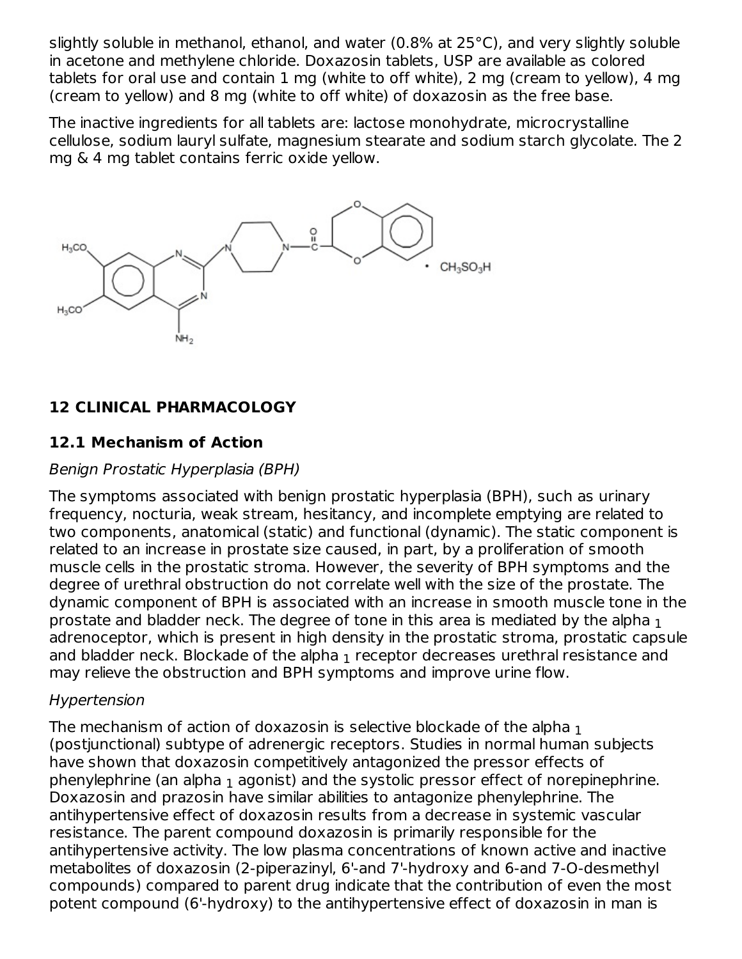slightly soluble in methanol, ethanol, and water (0.8% at 25°C), and very slightly soluble in acetone and methylene chloride. Doxazosin tablets, USP are available as colored tablets for oral use and contain 1 mg (white to off white), 2 mg (cream to yellow), 4 mg (cream to yellow) and 8 mg (white to off white) of doxazosin as the free base.

The inactive ingredients for all tablets are: lactose monohydrate, microcrystalline cellulose, sodium lauryl sulfate, magnesium stearate and sodium starch glycolate. The 2 mg & 4 mg tablet contains ferric oxide yellow.



# **12 CLINICAL PHARMACOLOGY**

# **12.1 Mechanism of Action**

### Benign Prostatic Hyperplasia (BPH)

The symptoms associated with benign prostatic hyperplasia (BPH), such as urinary frequency, nocturia, weak stream, hesitancy, and incomplete emptying are related to two components, anatomical (static) and functional (dynamic). The static component is related to an increase in prostate size caused, in part, by a proliferation of smooth muscle cells in the prostatic stroma. However, the severity of BPH symptoms and the degree of urethral obstruction do not correlate well with the size of the prostate. The dynamic component of BPH is associated with an increase in smooth muscle tone in the prostate and bladder neck. The degree of tone in this area is mediated by the alpha  $_{\rm 1}$ adrenoceptor, which is present in high density in the prostatic stroma, prostatic capsule and bladder neck. Blockade of the alpha  $_{\rm 1}$  receptor decreases urethral resistance and may relieve the obstruction and BPH symptoms and improve urine flow.

# Hypertension

The mechanism of action of doxazosin is selective blockade of the alpha  $_{\rm 1}$ (postjunctional) subtype of adrenergic receptors. Studies in normal human subjects have shown that doxazosin competitively antagonized the pressor effects of phenylephrine (an alpha  $_{\rm 1}$  agonist) and the systolic pressor effect of norepinephrine. Doxazosin and prazosin have similar abilities to antagonize phenylephrine. The antihypertensive effect of doxazosin results from a decrease in systemic vascular resistance. The parent compound doxazosin is primarily responsible for the antihypertensive activity. The low plasma concentrations of known active and inactive metabolites of doxazosin (2-piperazinyl, 6'-and 7'-hydroxy and 6-and 7-O-desmethyl compounds) compared to parent drug indicate that the contribution of even the most potent compound (6'-hydroxy) to the antihypertensive effect of doxazosin in man is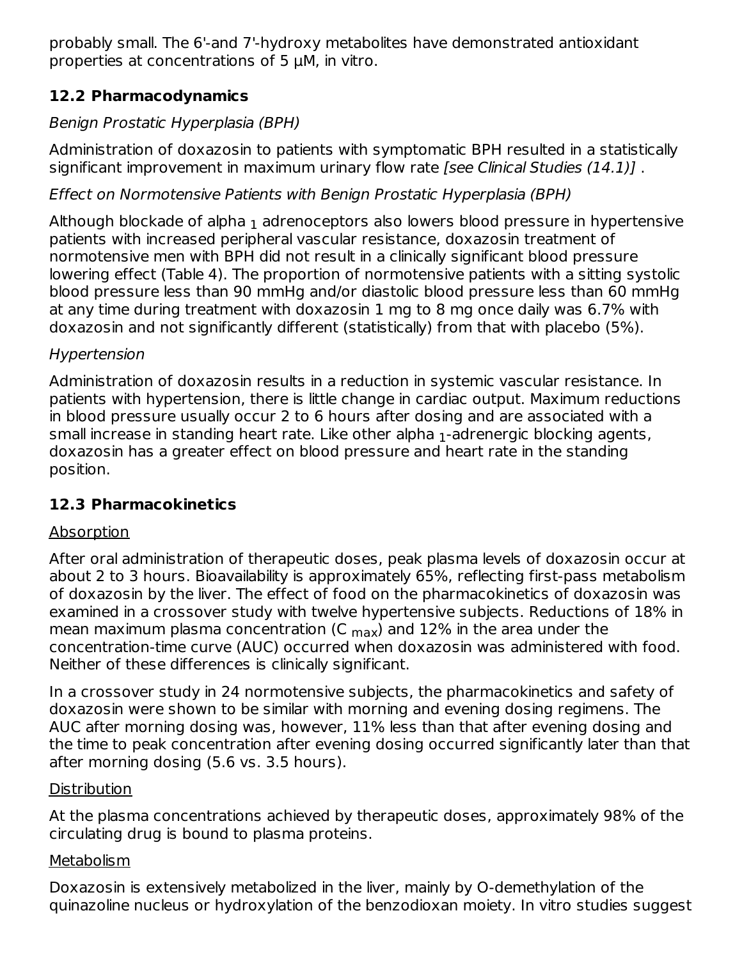probably small. The 6'-and 7'-hydroxy metabolites have demonstrated antioxidant properties at concentrations of 5 μM, in vitro.

# **12.2 Pharmacodynamics**

# Benign Prostatic Hyperplasia (BPH)

Administration of doxazosin to patients with symptomatic BPH resulted in a statistically significant improvement in maximum urinary flow rate [see Clinical Studies (14.1)].

# Effect on Normotensive Patients with Benign Prostatic Hyperplasia (BPH)

Although blockade of alpha  $_{\rm 1}$  adrenoceptors also lowers blood pressure in hypertensive patients with increased peripheral vascular resistance, doxazosin treatment of normotensive men with BPH did not result in a clinically significant blood pressure lowering effect (Table 4). The proportion of normotensive patients with a sitting systolic blood pressure less than 90 mmHg and/or diastolic blood pressure less than 60 mmHg at any time during treatment with doxazosin 1 mg to 8 mg once daily was 6.7% with doxazosin and not significantly different (statistically) from that with placebo (5%).

# Hypertension

Administration of doxazosin results in a reduction in systemic vascular resistance. In patients with hypertension, there is little change in cardiac output. Maximum reductions in blood pressure usually occur 2 to 6 hours after dosing and are associated with a small increase in standing heart rate. Like other alpha  $_1$ -adrenergic blocking agents, doxazosin has a greater effect on blood pressure and heart rate in the standing position.

# **12.3 Pharmacokinetics**

# Absorption

After oral administration of therapeutic doses, peak plasma levels of doxazosin occur at about 2 to 3 hours. Bioavailability is approximately 65%, reflecting first-pass metabolism of doxazosin by the liver. The effect of food on the pharmacokinetics of doxazosin was examined in a crossover study with twelve hypertensive subjects. Reductions of 18% in mean maximum plasma concentration (C  $_{\sf max}$ ) and 12% in the area under the concentration-time curve (AUC) occurred when doxazosin was administered with food. Neither of these differences is clinically significant.

In a crossover study in 24 normotensive subjects, the pharmacokinetics and safety of doxazosin were shown to be similar with morning and evening dosing regimens. The AUC after morning dosing was, however, 11% less than that after evening dosing and the time to peak concentration after evening dosing occurred significantly later than that after morning dosing (5.6 vs. 3.5 hours).

# Distribution

At the plasma concentrations achieved by therapeutic doses, approximately 98% of the circulating drug is bound to plasma proteins.

# **Metabolism**

Doxazosin is extensively metabolized in the liver, mainly by O-demethylation of the quinazoline nucleus or hydroxylation of the benzodioxan moiety. In vitro studies suggest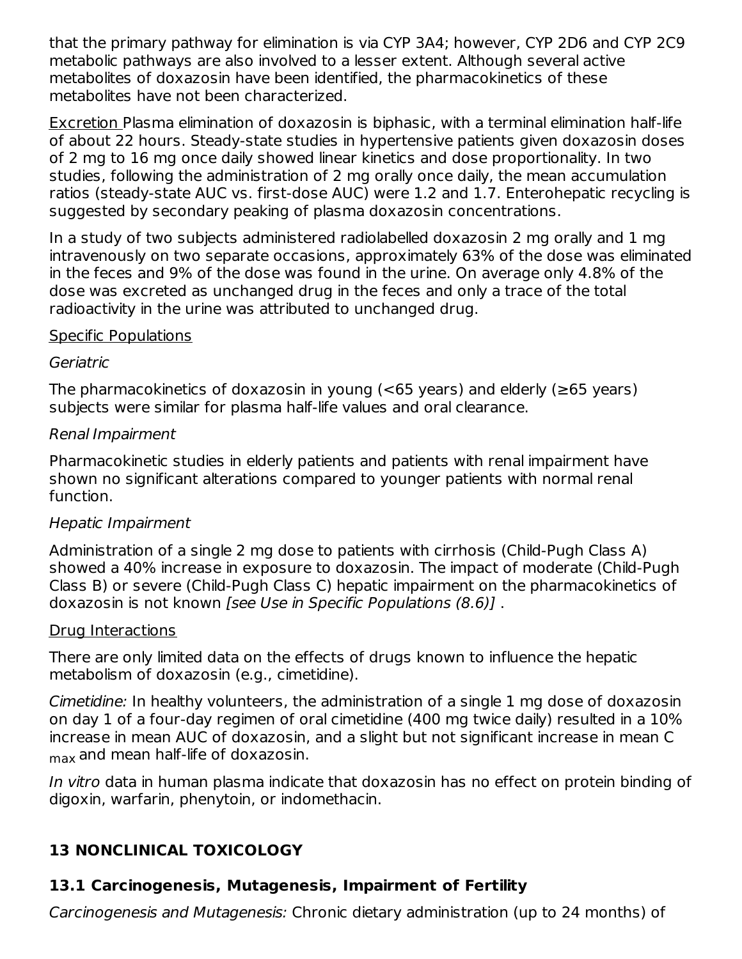that the primary pathway for elimination is via CYP 3A4; however, CYP 2D6 and CYP 2C9 metabolic pathways are also involved to a lesser extent. Although several active metabolites of doxazosin have been identified, the pharmacokinetics of these metabolites have not been characterized.

Excretion Plasma elimination of doxazosin is biphasic, with a terminal elimination half-life of about 22 hours. Steady-state studies in hypertensive patients given doxazosin doses of 2 mg to 16 mg once daily showed linear kinetics and dose proportionality. In two studies, following the administration of 2 mg orally once daily, the mean accumulation ratios (steady-state AUC vs. first-dose AUC) were 1.2 and 1.7. Enterohepatic recycling is suggested by secondary peaking of plasma doxazosin concentrations.

In a study of two subjects administered radiolabelled doxazosin 2 mg orally and 1 mg intravenously on two separate occasions, approximately 63% of the dose was eliminated in the feces and 9% of the dose was found in the urine. On average only 4.8% of the dose was excreted as unchanged drug in the feces and only a trace of the total radioactivity in the urine was attributed to unchanged drug.

#### Specific Populations

#### Geriatric

The pharmacokinetics of doxazosin in young ( $<$ 65 years) and elderly ( $\geq$ 65 years) subjects were similar for plasma half-life values and oral clearance.

#### Renal Impairment

Pharmacokinetic studies in elderly patients and patients with renal impairment have shown no significant alterations compared to younger patients with normal renal function.

#### Hepatic Impairment

Administration of a single 2 mg dose to patients with cirrhosis (Child-Pugh Class A) showed a 40% increase in exposure to doxazosin. The impact of moderate (Child-Pugh Class B) or severe (Child-Pugh Class C) hepatic impairment on the pharmacokinetics of doxazosin is not known [see Use in Specific Populations (8.6)] .

#### Drug Interactions

There are only limited data on the effects of drugs known to influence the hepatic metabolism of doxazosin (e.g., cimetidine).

Cimetidine: In healthy volunteers, the administration of a single 1 mg dose of doxazosin on day 1 of a four-day regimen of oral cimetidine (400 mg twice daily) resulted in a 10% increase in mean AUC of doxazosin, and a slight but not significant increase in mean C  $_{\sf max}$  and mean half-life of doxazosin.

In vitro data in human plasma indicate that doxazosin has no effect on protein binding of digoxin, warfarin, phenytoin, or indomethacin.

# **13 NONCLINICAL TOXICOLOGY**

# **13.1 Carcinogenesis, Mutagenesis, Impairment of Fertility**

Carcinogenesis and Mutagenesis: Chronic dietary administration (up to 24 months) of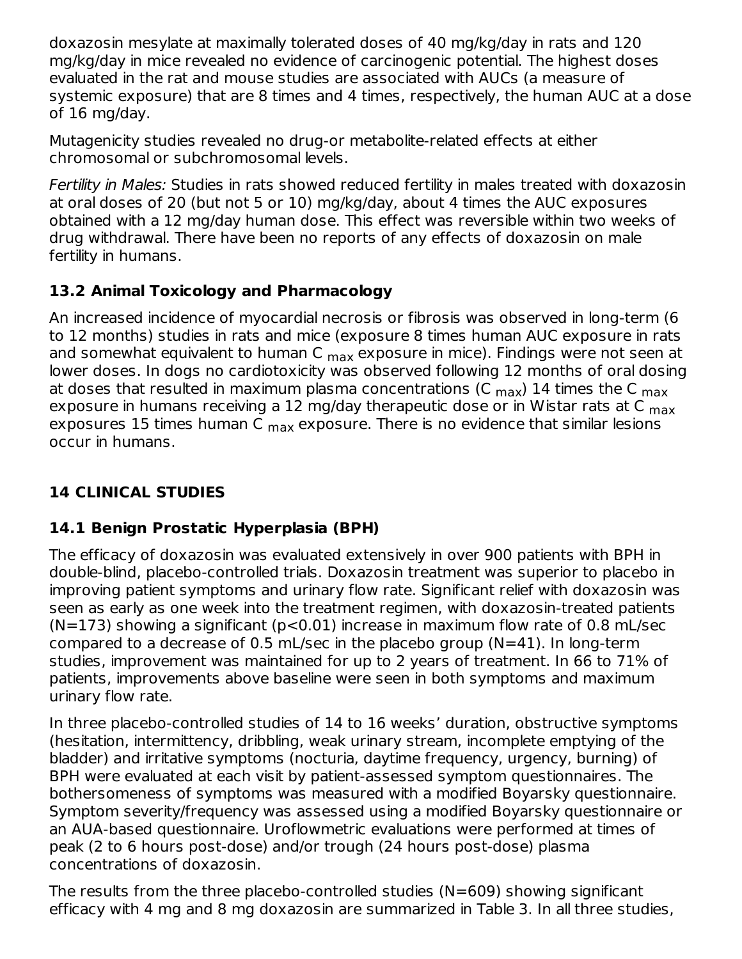doxazosin mesylate at maximally tolerated doses of 40 mg/kg/day in rats and 120 mg/kg/day in mice revealed no evidence of carcinogenic potential. The highest doses evaluated in the rat and mouse studies are associated with AUCs (a measure of systemic exposure) that are 8 times and 4 times, respectively, the human AUC at a dose of 16 mg/day.

Mutagenicity studies revealed no drug-or metabolite-related effects at either chromosomal or subchromosomal levels.

Fertility in Males: Studies in rats showed reduced fertility in males treated with doxazosin at oral doses of 20 (but not 5 or 10) mg/kg/day, about 4 times the AUC exposures obtained with a 12 mg/day human dose. This effect was reversible within two weeks of drug withdrawal. There have been no reports of any effects of doxazosin on male fertility in humans.

# **13.2 Animal Toxicology and Pharmacology**

An increased incidence of myocardial necrosis or fibrosis was observed in long-term (6 to 12 months) studies in rats and mice (exposure 8 times human AUC exposure in rats and somewhat equivalent to human C <sub>max</sub> exposure in mice). Findings were not seen at lower doses. In dogs no cardiotoxicity was observed following 12 months of oral dosing at doses that resulted in maximum plasma concentrations (C  $_{\sf max}$ ) 14 times the C  $_{\sf max}$ exposure in humans receiving a 12 mg/day therapeutic dose or in Wistar rats at C <sub>max</sub> exposures 15 times human C <sub>max</sub> exposure. There is no evidence that similar lesions occur in humans.

# **14 CLINICAL STUDIES**

# **14.1 Benign Prostatic Hyperplasia (BPH)**

The efficacy of doxazosin was evaluated extensively in over 900 patients with BPH in double-blind, placebo-controlled trials. Doxazosin treatment was superior to placebo in improving patient symptoms and urinary flow rate. Significant relief with doxazosin was seen as early as one week into the treatment regimen, with doxazosin-treated patients  $(N=173)$  showing a significant ( $p<0.01$ ) increase in maximum flow rate of 0.8 mL/sec compared to a decrease of 0.5 mL/sec in the placebo group (N=41). In long-term studies, improvement was maintained for up to 2 years of treatment. In 66 to 71% of patients, improvements above baseline were seen in both symptoms and maximum urinary flow rate.

In three placebo-controlled studies of 14 to 16 weeks' duration, obstructive symptoms (hesitation, intermittency, dribbling, weak urinary stream, incomplete emptying of the bladder) and irritative symptoms (nocturia, daytime frequency, urgency, burning) of BPH were evaluated at each visit by patient-assessed symptom questionnaires. The bothersomeness of symptoms was measured with a modified Boyarsky questionnaire. Symptom severity/frequency was assessed using a modified Boyarsky questionnaire or an AUA-based questionnaire. Uroflowmetric evaluations were performed at times of peak (2 to 6 hours post-dose) and/or trough (24 hours post-dose) plasma concentrations of doxazosin.

The results from the three placebo-controlled studies (N=609) showing significant efficacy with 4 mg and 8 mg doxazosin are summarized in Table 3. In all three studies,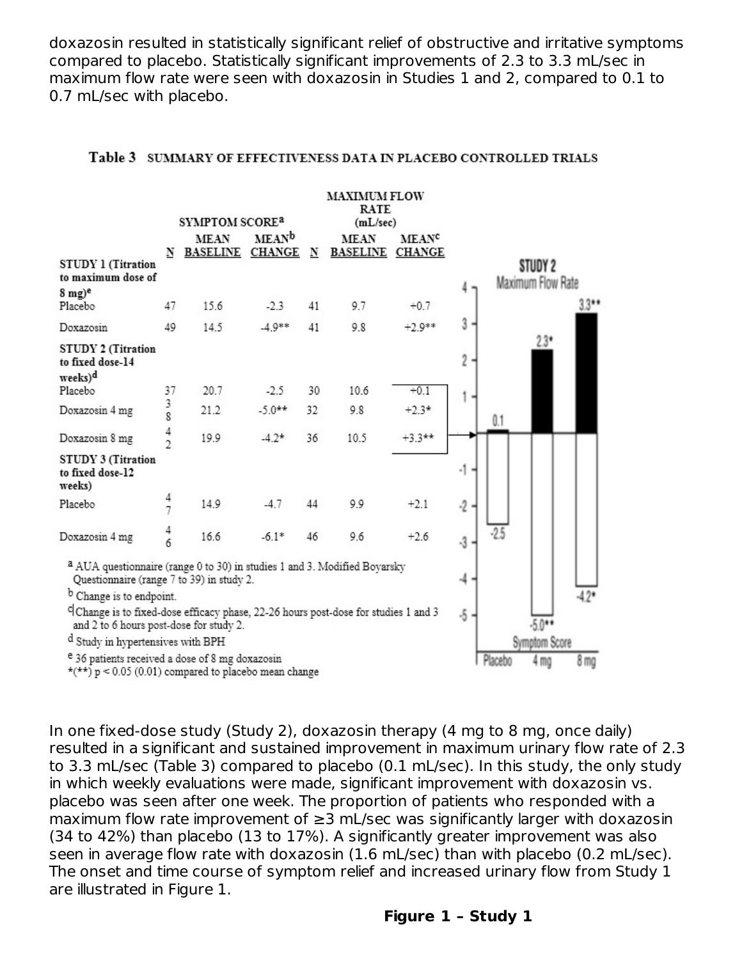doxazosin resulted in statistically significant relief of obstructive and irritative symptoms compared to placebo. Statistically significant improvements of 2.3 to 3.3 mL/sec in maximum flow rate were seen with doxazosin in Studies 1 and 2, compared to 0.1 to 0.7 mL/sec with placebo.

|                                                                                                                                           | <b>MAXIMUM FLOW</b><br>RATE<br>SYMPTOM SCORE <sup>a</sup><br>(mL/sec) |                        |                    |          |                        |                         |            |        |                              |                 |
|-------------------------------------------------------------------------------------------------------------------------------------------|-----------------------------------------------------------------------|------------------------|--------------------|----------|------------------------|-------------------------|------------|--------|------------------------------|-----------------|
|                                                                                                                                           |                                                                       | <b>MEAN</b>            | MEAN <sup>b</sup>  |          | <b>MEAN</b>            | <b>MEAN<sup>c</sup></b> |            |        |                              |                 |
| <b>STUDY 1 (Titration</b><br>to maximum dose of<br>$8 \text{ mg})$ <sup>e</sup>                                                           | N                                                                     | <b>BASELINE CHANGE</b> |                    | N        | <b>BASELINE CHANGE</b> |                         |            |        | STUDY 2<br>Maximum Flow Rate | $33**$          |
| Placebo<br>Doxazosin                                                                                                                      | 47<br>49                                                              | 15.6<br>14.5           | $-2.3$<br>$-4.9**$ | 41<br>41 | 9.7<br>9.8             | $+0.7$<br>$+2.9**$      | 3          |        |                              |                 |
| <b>STUDY 2 (Titration</b><br>to fixed dose-14<br>weeks) <sup>d</sup>                                                                      |                                                                       |                        |                    |          |                        |                         | 2          |        | $23*$                        |                 |
| Placebo                                                                                                                                   | 37                                                                    | 20.7                   | $-2.5$             | 30       | 10.6                   | $+0.1$                  |            |        |                              |                 |
| Doxazosin 4 mg                                                                                                                            | 3<br>8                                                                | 21.2                   | $-5.0**$           | 32       | 9.8                    | $+2.3*$                 |            | 0.1    |                              |                 |
| Doxazosin 8 mg                                                                                                                            | $\frac{4}{2}$                                                         | 19.9                   | $-4.2*$            | 36       | 10.5                   | $+3.3$ **               |            |        |                              |                 |
| <b>STUDY 3 (Titration</b><br>to fixed dose-12<br>weeks)                                                                                   |                                                                       |                        |                    |          |                        |                         | -1         |        |                              |                 |
| Placebo                                                                                                                                   | 4<br>7                                                                | 14.9                   | $-4.7$             | 44       | 9.9                    | $+2.1$                  | $-2$       |        |                              |                 |
| Doxazosin 4 mg                                                                                                                            | $\frac{4}{6}$                                                         | 16.6                   | $-6.1*$            | 46       | 9.6                    | $+2.6$                  | $-3$       | $-2.5$ |                              |                 |
| <sup>a</sup> AUA questionnaire (range 0 to 30) in studies 1 and 3. Modified Boyarsky<br>Questionnaire (range 7 to 39) in study 2.         |                                                                       |                        |                    |          |                        |                         |            |        |                              |                 |
| <sup>b</sup> Change is to endpoint.                                                                                                       |                                                                       |                        |                    |          |                        |                         |            |        |                              | $-4.2*$         |
| <sup>c</sup> Change is to fixed-dose efficacy phase, 22-26 hours post-dose for studies 1 and 3<br>and 2 to 6 hours post-dose for study 2. |                                                                       |                        |                    |          |                        |                         | $\cdot$ 5. |        | $-5.0**$                     |                 |
| d Study in hypertensives with BPH                                                                                                         |                                                                       |                        |                    |          |                        |                         |            |        | Symptom Score                |                 |
| e 36 patients received a dose of 8 mg doxazosin<br>$\star$ (**) p < 0.05 (0.01) compared to placebo mean change                           |                                                                       |                        |                    |          |                        |                         |            |        | 4 mg                         | 8 <sub>mg</sub> |

#### Table 3 SUMMARY OF EFFECTIVENESS DATA IN PLACEBO CONTROLLED TRIALS

In one fixed-dose study (Study 2), doxazosin therapy (4 mg to 8 mg, once daily) resulted in a significant and sustained improvement in maximum urinary flow rate of 2.3 to 3.3 mL/sec (Table 3) compared to placebo (0.1 mL/sec). In this study, the only study in which weekly evaluations were made, significant improvement with doxazosin vs. placebo was seen after one week. The proportion of patients who responded with a maximum flow rate improvement of ≥3 mL/sec was significantly larger with doxazosin (34 to 42%) than placebo (13 to 17%). A significantly greater improvement was also seen in average flow rate with doxazosin (1.6 mL/sec) than with placebo (0.2 mL/sec). The onset and time course of symptom relief and increased urinary flow from Study 1 are illustrated in Figure 1.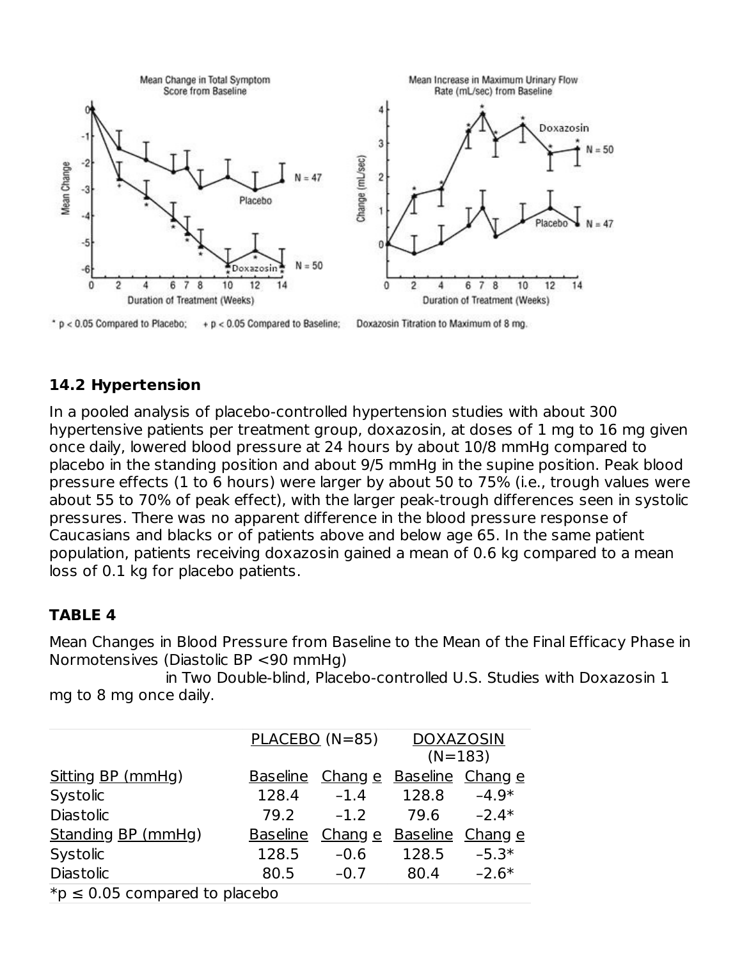

# **14.2 Hypertension**

In a pooled analysis of placebo-controlled hypertension studies with about 300 hypertensive patients per treatment group, doxazosin, at doses of 1 mg to 16 mg given once daily, lowered blood pressure at 24 hours by about 10/8 mmHg compared to placebo in the standing position and about 9/5 mmHg in the supine position. Peak blood pressure effects (1 to 6 hours) were larger by about 50 to 75% (i.e., trough values were about 55 to 70% of peak effect), with the larger peak-trough differences seen in systolic pressures. There was no apparent difference in the blood pressure response of Caucasians and blacks or of patients above and below age 65. In the same patient population, patients receiving doxazosin gained a mean of 0.6 kg compared to a mean loss of 0.1 kg for placebo patients.

#### **TABLE 4**

Mean Changes in Blood Pressure from Baseline to the Mean of the Final Efficacy Phase in Normotensives (Diastolic BP <90 mmHg)

in Two Double-blind, Placebo-controlled U.S. Studies with Doxazosin 1 mg to 8 mg once daily.

|                                    |                 | PLACEBO (N=85)                  | <b>DOXAZOSIN</b>         |         |  |  |  |
|------------------------------------|-----------------|---------------------------------|--------------------------|---------|--|--|--|
|                                    |                 |                                 | $(N=183)$                |         |  |  |  |
| Sitting BP (mmHg)                  |                 | Baseline Change Baseline Change |                          |         |  |  |  |
| Systolic                           | 128.4           | $-1.4$                          | 128.8                    | $-4.9*$ |  |  |  |
| <b>Diastolic</b>                   | 79.2            | $-1.2$                          | 79.6                     | $-2.4*$ |  |  |  |
| Standing BP (mmHg)                 | <b>Baseline</b> |                                 | Chang e Baseline Chang e |         |  |  |  |
| Systolic                           | 128.5           | $-0.6$                          | 128.5                    | $-5.3*$ |  |  |  |
| <b>Diastolic</b>                   | 80.5            | $-0.7$                          | 80.4                     | $-2.6*$ |  |  |  |
| *p $\leq$ 0.05 compared to placebo |                 |                                 |                          |         |  |  |  |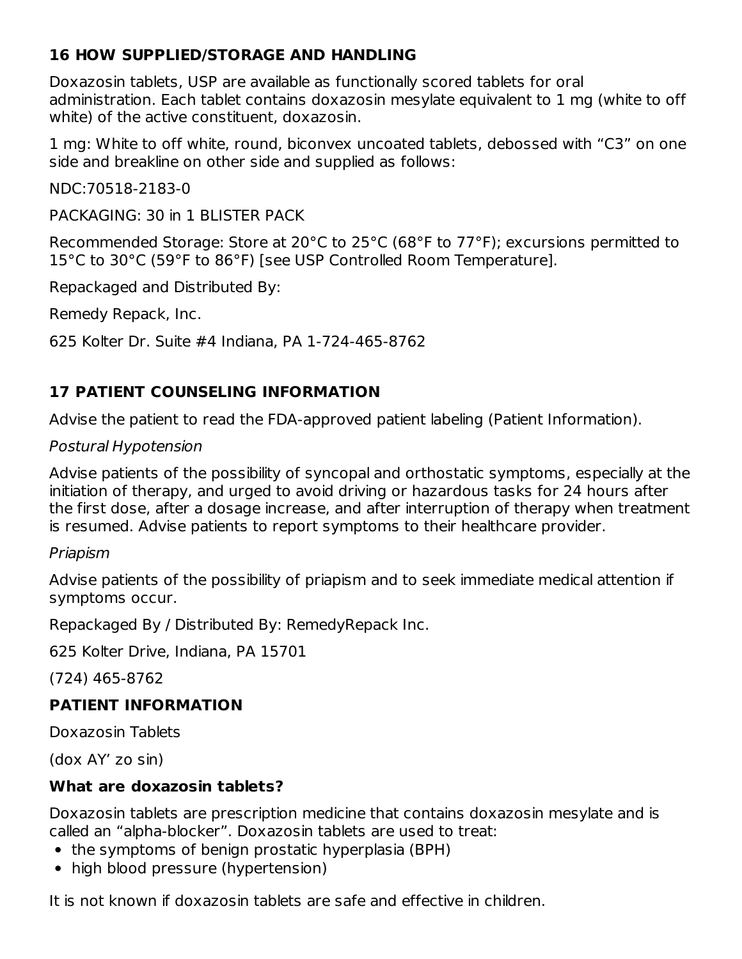# **16 HOW SUPPLIED/STORAGE AND HANDLING**

Doxazosin tablets, USP are available as functionally scored tablets for oral administration. Each tablet contains doxazosin mesylate equivalent to 1 mg (white to off white) of the active constituent, doxazosin.

1 mg: White to off white, round, biconvex uncoated tablets, debossed with "C3" on one side and breakline on other side and supplied as follows:

NDC:70518-2183-0

PACKAGING: 30 in 1 BLISTER PACK

Recommended Storage: Store at 20°C to 25°C (68°F to 77°F); excursions permitted to 15°C to 30°C (59°F to 86°F) [see USP Controlled Room Temperature].

Repackaged and Distributed By:

Remedy Repack, Inc.

625 Kolter Dr. Suite #4 Indiana, PA 1-724-465-8762

# **17 PATIENT COUNSELING INFORMATION**

Advise the patient to read the FDA-approved patient labeling (Patient Information).

Postural Hypotension

Advise patients of the possibility of syncopal and orthostatic symptoms, especially at the initiation of therapy, and urged to avoid driving or hazardous tasks for 24 hours after the first dose, after a dosage increase, and after interruption of therapy when treatment is resumed. Advise patients to report symptoms to their healthcare provider.

# Priapism

Advise patients of the possibility of priapism and to seek immediate medical attention if symptoms occur.

Repackaged By / Distributed By: RemedyRepack Inc.

625 Kolter Drive, Indiana, PA 15701

(724) 465-8762

# **PATIENT INFORMATION**

Doxazosin Tablets

(dox AY' zo sin)

# **What are doxazosin tablets?**

Doxazosin tablets are prescription medicine that contains doxazosin mesylate and is called an "alpha-blocker". Doxazosin tablets are used to treat:

- the symptoms of benign prostatic hyperplasia (BPH)
- high blood pressure (hypertension)

It is not known if doxazosin tablets are safe and effective in children.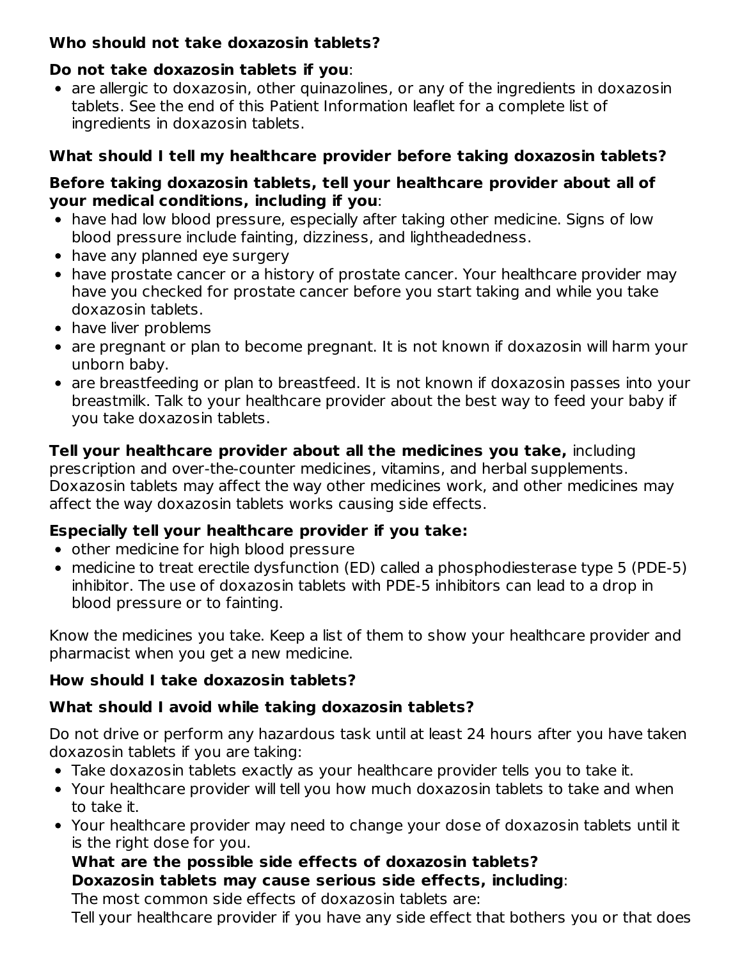# **Who should not take doxazosin tablets?**

#### **Do not take doxazosin tablets if you**:

• are allergic to doxazosin, other quinazolines, or any of the ingredients in doxazosin tablets. See the end of this Patient Information leaflet for a complete list of ingredients in doxazosin tablets.

# **What should I tell my healthcare provider before taking doxazosin tablets?**

#### **Before taking doxazosin tablets, tell your healthcare provider about all of your medical conditions, including if you**:

- have had low blood pressure, especially after taking other medicine. Signs of low blood pressure include fainting, dizziness, and lightheadedness.
- have any planned eye surgery
- have prostate cancer or a history of prostate cancer. Your healthcare provider may have you checked for prostate cancer before you start taking and while you take doxazosin tablets.
- have liver problems
- are pregnant or plan to become pregnant. It is not known if doxazosin will harm your unborn baby.
- are breastfeeding or plan to breastfeed. It is not known if doxazosin passes into your breastmilk. Talk to your healthcare provider about the best way to feed your baby if you take doxazosin tablets.

# **Tell your healthcare provider about all the medicines you take,** including

prescription and over-the-counter medicines, vitamins, and herbal supplements. Doxazosin tablets may affect the way other medicines work, and other medicines may affect the way doxazosin tablets works causing side effects.

# **Especially tell your healthcare provider if you take:**

- other medicine for high blood pressure
- medicine to treat erectile dysfunction (ED) called a phosphodiesterase type 5 (PDE-5) inhibitor. The use of doxazosin tablets with PDE-5 inhibitors can lead to a drop in blood pressure or to fainting.

Know the medicines you take. Keep a list of them to show your healthcare provider and pharmacist when you get a new medicine.

# **How should I take doxazosin tablets?**

# **What should I avoid while taking doxazosin tablets?**

Do not drive or perform any hazardous task until at least 24 hours after you have taken doxazosin tablets if you are taking:

- Take doxazosin tablets exactly as your healthcare provider tells you to take it.
- Your healthcare provider will tell you how much doxazosin tablets to take and when to take it.
- Your healthcare provider may need to change your dose of doxazosin tablets until it is the right dose for you.

# **What are the possible side effects of doxazosin tablets? Doxazosin tablets may cause serious side effects, including**:

The most common side effects of doxazosin tablets are:

Tell your healthcare provider if you have any side effect that bothers you or that does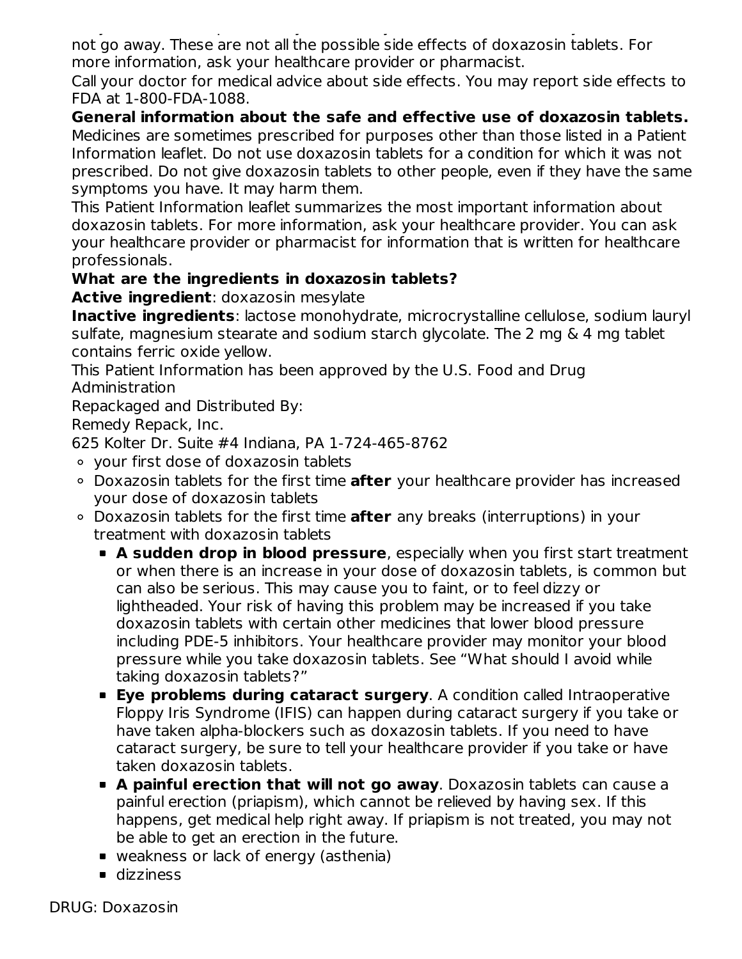Tell your healthcare provider if you have any side effect that bothers you or that does not go away. These are not all the possible side effects of doxazosin tablets. For more information, ask your healthcare provider or pharmacist.

Call your doctor for medical advice about side effects. You may report side effects to FDA at 1-800-FDA-1088.

**General information about the safe and effective use of doxazosin tablets.** Medicines are sometimes prescribed for purposes other than those listed in a Patient Information leaflet. Do not use doxazosin tablets for a condition for which it was not prescribed. Do not give doxazosin tablets to other people, even if they have the same symptoms you have. It may harm them.

This Patient Information leaflet summarizes the most important information about doxazosin tablets. For more information, ask your healthcare provider. You can ask your healthcare provider or pharmacist for information that is written for healthcare professionals.

### **What are the ingredients in doxazosin tablets?**

**Active ingredient**: doxazosin mesylate

**Inactive ingredients**: lactose monohydrate, microcrystalline cellulose, sodium lauryl sulfate, magnesium stearate and sodium starch glycolate. The 2 mg & 4 mg tablet contains ferric oxide yellow.

This Patient Information has been approved by the U.S. Food and Drug Administration

Repackaged and Distributed By:

Remedy Repack, Inc.

625 Kolter Dr. Suite #4 Indiana, PA 1-724-465-8762

- your first dose of doxazosin tablets
- Doxazosin tablets for the first time **after** your healthcare provider has increased your dose of doxazosin tablets
- Doxazosin tablets for the first time **after** any breaks (interruptions) in your treatment with doxazosin tablets
	- **A sudden drop in blood pressure**, especially when you first start treatment or when there is an increase in your dose of doxazosin tablets, is common but can also be serious. This may cause you to faint, or to feel dizzy or lightheaded. Your risk of having this problem may be increased if you take doxazosin tablets with certain other medicines that lower blood pressure including PDE-5 inhibitors. Your healthcare provider may monitor your blood pressure while you take doxazosin tablets. See "What should I avoid while taking doxazosin tablets?"
	- **Eye problems during cataract surgery**. A condition called Intraoperative Floppy Iris Syndrome (IFIS) can happen during cataract surgery if you take or have taken alpha-blockers such as doxazosin tablets. If you need to have cataract surgery, be sure to tell your healthcare provider if you take or have taken doxazosin tablets.
	- **A painful erection that will not go away**. Doxazosin tablets can cause a painful erection (priapism), which cannot be relieved by having sex. If this happens, get medical help right away. If priapism is not treated, you may not be able to get an erection in the future.
	- weakness or lack of energy (asthenia)
	- **dizziness**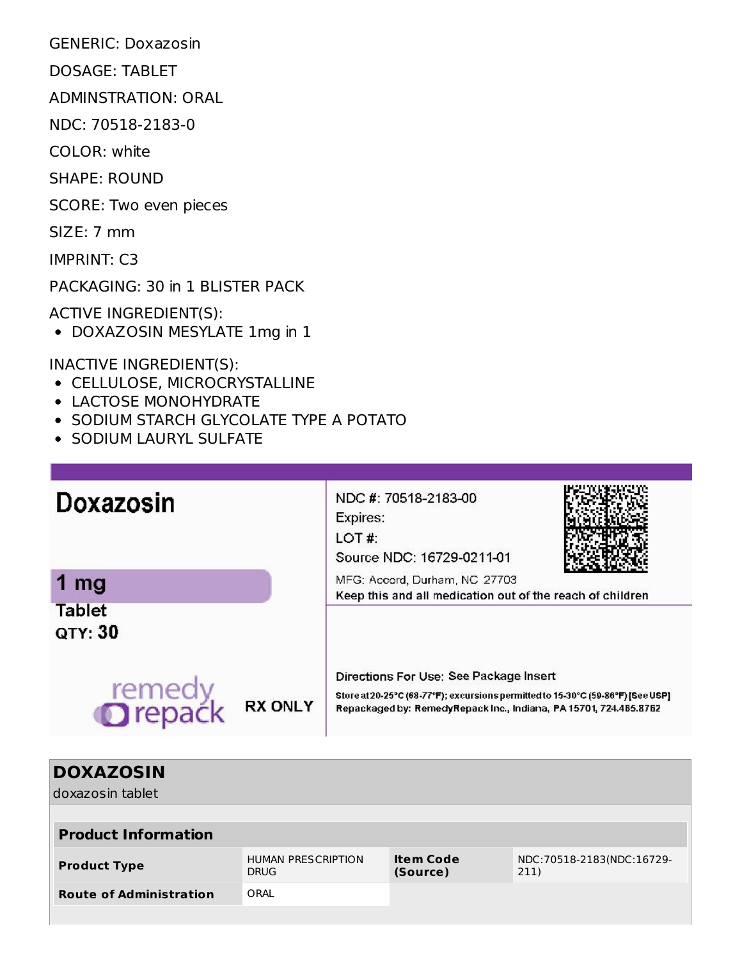GENERIC: Doxazosin

DOSAGE: TABLET

ADMINSTRATION: ORAL

NDC: 70518-2183-0

COLOR: white

SHAPE: ROUND

SCORE: Two even pieces

SIZE: 7 mm

IMPRINT: C3

PACKAGING: 30 in 1 BLISTER PACK

ACTIVE INGREDIENT(S):

DOXAZOSIN MESYLATE 1mg in 1

INACTIVE INGREDIENT(S):

- CELLULOSE, MICROCRYSTALLINE
- LACTOSE MONOHYDRATE
- SODIUM STARCH GLYCOLATE TYPE A POTATO
- **SODIUM LAURYL SULFATE**

| Doxazosin                      |                | NDC #: 70518-2183-00<br>Expires:<br>LOT#:<br>Source NDC: 16729-0211-01                                                                                                                         |  |  |  |  |
|--------------------------------|----------------|------------------------------------------------------------------------------------------------------------------------------------------------------------------------------------------------|--|--|--|--|
| mg<br><b>Tablet</b><br>QTY: 30 |                | MFG: Accord, Durham, NC 27703<br>Keep this and all medication out of the reach of children                                                                                                     |  |  |  |  |
| remedy<br><b>Drepack</b>       | <b>RX ONLY</b> | Directions For Use: See Package Insert<br>Store at 20-25°C (68-77°F); excursions permitted to 15-30°C (59-86°F) [See USP]<br>Repackaged by: RemedyRepack Inc., Indiana, PA 15701, 724.465.8762 |  |  |  |  |

| <b>DOXAZOSIN</b>               |                                          |                              |                                     |  |  |  |  |
|--------------------------------|------------------------------------------|------------------------------|-------------------------------------|--|--|--|--|
| doxazosin tablet               |                                          |                              |                                     |  |  |  |  |
|                                |                                          |                              |                                     |  |  |  |  |
| <b>Product Information</b>     |                                          |                              |                                     |  |  |  |  |
| <b>Product Type</b>            | <b>HUMAN PRESCRIPTION</b><br><b>DRUG</b> | <b>Item Code</b><br>(Source) | NDC: 70518-2183(NDC: 16729-<br>211) |  |  |  |  |
| <b>Route of Administration</b> | ORAL                                     |                              |                                     |  |  |  |  |
|                                |                                          |                              |                                     |  |  |  |  |